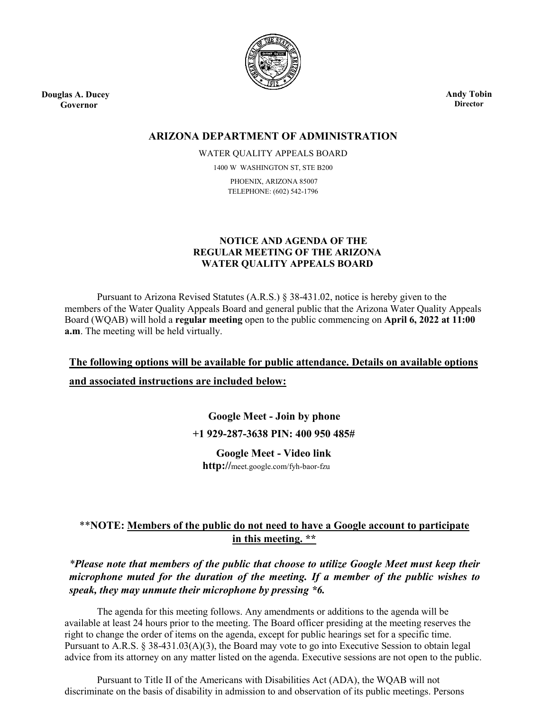

**Douglas A. Ducey Governor**

**Andy Tobin Director**

## **ARIZONA DEPARTMENT OF ADMINISTRATION**

WATER QUALITY APPEALS BOARD 1400 W WASHINGTON ST, STE B200 PHOENIX, ARIZONA 85007 TELEPHONE: (602) 542-1796

### **NOTICE AND AGENDA OF THE REGULAR MEETING OF THE ARIZONA WATER QUALITY APPEALS BOARD**

Pursuant to Arizona Revised Statutes (A.R.S.) § 38-431.02, notice is hereby given to the members of the Water Quality Appeals Board and general public that the Arizona Water Quality Appeals Board (WQAB) will hold a **regular meeting** open to the public commencing on **April 6, 2022 at 11:00 a.m**. The meeting will be held virtually.

**The following options will be available for public attendance. Details on available options and associated instructions are included below:**

> **Google Meet - Join by phone +1 929-287-3638 PIN: 400 950 485#**

**Google Meet - Video link http://**[meet.google.com/fyh-baor-fzu](https://meet.google.com/uyu-ajub-xwf?hs=122&authuser=0)

# \*\***NOTE: Members of the public do not need to have a Google account to participate in this meeting. \*\***

*\*Please note that members of the public that choose to utilize Google Meet must keep their microphone muted for the duration of the meeting. If a member of the public wishes to speak, they may unmute their microphone by pressing \*6.*

The agenda for this meeting follows. Any amendments or additions to the agenda will be available at least 24 hours prior to the meeting. The Board officer presiding at the meeting reserves the right to change the order of items on the agenda, except for public hearings set for a specific time. Pursuant to A.R.S. § 38-431.03(A)(3), the Board may vote to go into Executive Session to obtain legal advice from its attorney on any matter listed on the agenda. Executive sessions are not open to the public.

Pursuant to Title II of the Americans with Disabilities Act (ADA), the WQAB will not discriminate on the basis of disability in admission to and observation of its public meetings. Persons